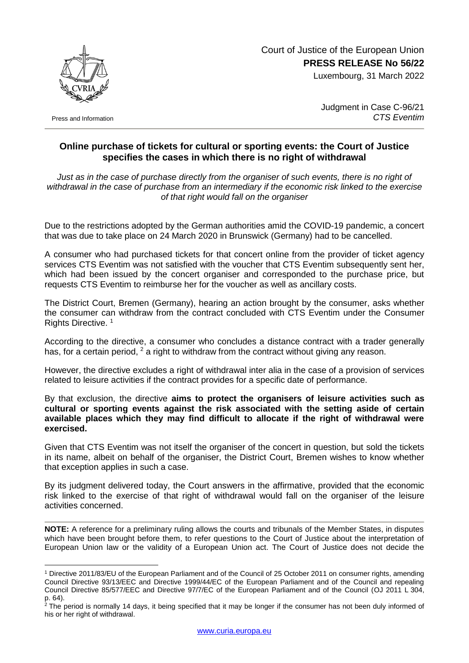Court of Justice of the European Union **PRESS RELEASE No 56/22**

Luxembourg, 31 March 2022



Press and Information

1

Judgment in Case C-96/21 *CTS Eventim*

## **Online purchase of tickets for cultural or sporting events: the Court of Justice specifies the cases in which there is no right of withdrawal**

*Just as in the case of purchase directly from the organiser of such events, there is no right of withdrawal in the case of purchase from an intermediary if the economic risk linked to the exercise of that right would fall on the organiser*

Due to the restrictions adopted by the German authorities amid the COVID-19 pandemic, a concert that was due to take place on 24 March 2020 in Brunswick (Germany) had to be cancelled.

A consumer who had purchased tickets for that concert online from the provider of ticket agency services CTS Eventim was not satisfied with the voucher that CTS Eventim subsequently sent her, which had been issued by the concert organiser and corresponded to the purchase price, but requests CTS Eventim to reimburse her for the voucher as well as ancillary costs.

The District Court, Bremen (Germany), hearing an action brought by the consumer, asks whether the consumer can withdraw from the contract concluded with CTS Eventim under the Consumer Rights Directive. <sup>1</sup>

According to the directive, a consumer who concludes a distance contract with a trader generally has, for a certain period,  $2$  a right to withdraw from the contract without giving any reason.

However, the directive excludes a right of withdrawal inter alia in the case of a provision of services related to leisure activities if the contract provides for a specific date of performance.

By that exclusion, the directive **aims to protect the organisers of leisure activities such as cultural or sporting events against the risk associated with the setting aside of certain available places which they may find difficult to allocate if the right of withdrawal were exercised.**

Given that CTS Eventim was not itself the organiser of the concert in question, but sold the tickets in its name, albeit on behalf of the organiser, the District Court, Bremen wishes to know whether that exception applies in such a case.

By its judgment delivered today, the Court answers in the affirmative, provided that the economic risk linked to the exercise of that right of withdrawal would fall on the organiser of the leisure activities concerned.

**NOTE:** A reference for a preliminary ruling allows the courts and tribunals of the Member States, in disputes which have been brought before them, to refer questions to the Court of Justice about the interpretation of European Union law or the validity of a European Union act. The Court of Justice does not decide the

<sup>1</sup> Directive 2011/83/EU of the European Parliament and of the Council of 25 October 2011 on consumer rights, amending Council Directive 93/13/EEC and Directive 1999/44/EC of the European Parliament and of the Council and repealing Council Directive 85/577/EEC and Directive 97/7/EC of the European Parliament and of the Council (OJ 2011 L 304, p. 64).

 $2$  The period is normally 14 days, it being specified that it may be longer if the consumer has not been duly informed of his or her right of withdrawal.